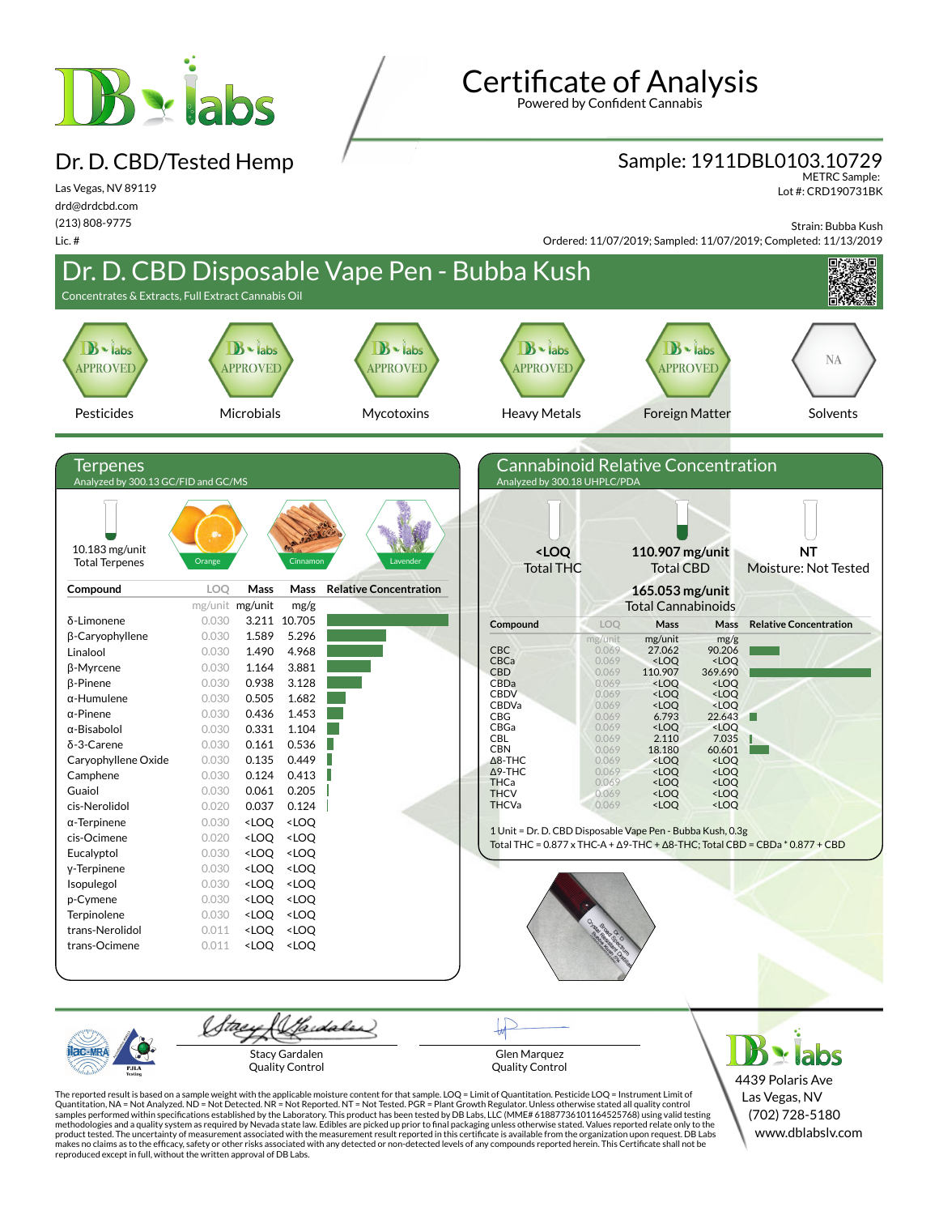

Dr. D. CBD/Tested Hemp

#### Las Vegas, NV 89119 drd@drdcbd.com (213) 808-9775

Lic. #

# Certificate of Analysis

Powered by Confident Cannabis

### Sample: 1911DBL0103.10729

METRC Sample: Lot #: CRD190731BK

Strain: Bubba Kush

Ordered: 11/07/2019; Sampled: 11/07/2019; Completed: 11/13/2019



Gardaler Stacy Gardalen Quality Control

Glen Marquez Quality Control

 $\geq$  labs 4439 Polaris Ave Las Vegas, NV (702) 728-5180 www.dblabslv.com

The reported result is based on a sample weight with the applicable moisture content for that sample. LOQ = Limit of Quantitation. Pesticide LOQ = Instrument Limit of Quantitation, NA = Not Analyzed. ND = Not Detected. NR = Not Reported. NT = Not Tested. PGR = Plant Growth Regulator. Unless otherwise stated all quality control<br>samples performed within specifications established by the L methodologies and a quality system as required by Nevada state law. Edibles are picked up prior to final packaging unless otherwise stated. Values reported relate only to the<br>product tested. The uncertainty of measurement makes no claims as to the efficacy, safety or other risks associated with any detected or non-detected levels of any compounds reported herein. This Certificate shall not be reproduced except in full, without the written approval of DB Labs.